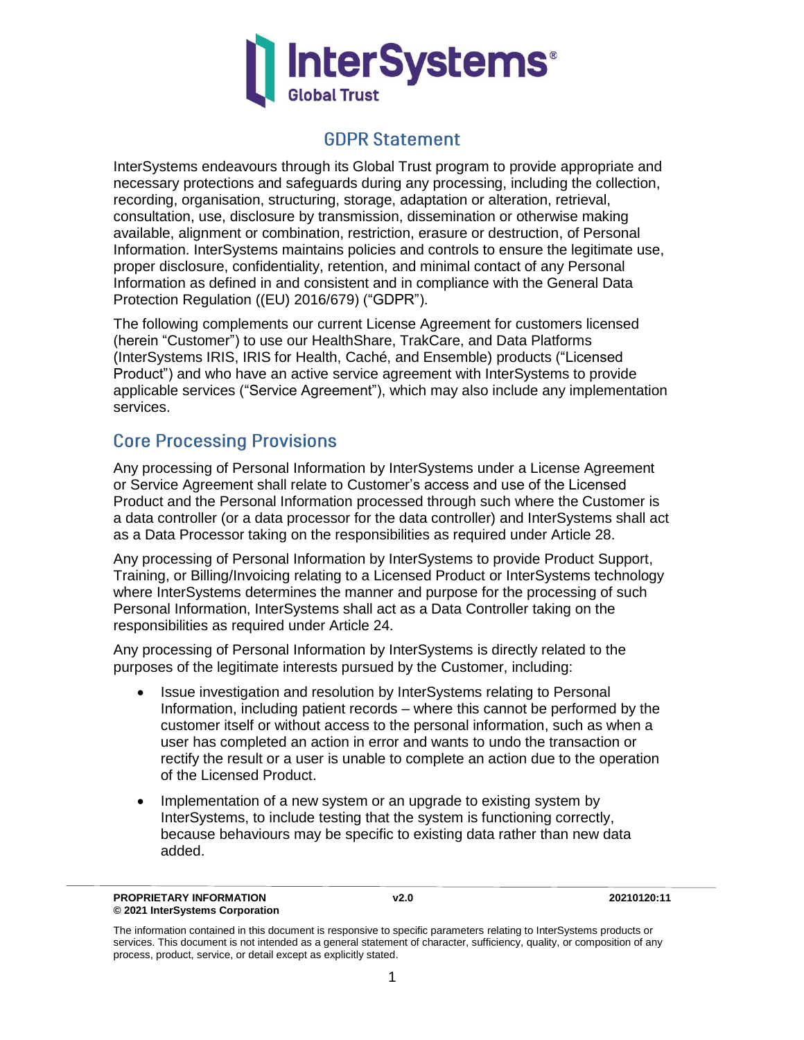

### **GDPR Statement**

InterSystems endeavours through its Global Trust program to provide appropriate and necessary protections and safeguards during any processing, including the collection, recording, organisation, structuring, storage, adaptation or alteration, retrieval, consultation, use, disclosure by transmission, dissemination or otherwise making available, alignment or combination, restriction, erasure or destruction, of Personal Information. InterSystems maintains policies and controls to ensure the legitimate use, proper disclosure, confidentiality, retention, and minimal contact of any Personal Information as defined in and consistent and in compliance with the General Data Protection Regulation ((EU) 2016/679) ("GDPR").

The following complements our current License Agreement for customers licensed (herein "Customer") to use our HealthShare, TrakCare, and Data Platforms (InterSystems IRIS, IRIS for Health, Caché, and Ensemble) products ("Licensed Product") and who have an active service agreement with InterSystems to provide applicable services ("Service Agreement"), which may also include any implementation services.

### **Core Processing Provisions**

Any processing of Personal Information by InterSystems under a License Agreement or Service Agreement shall relate to Customer's access and use of the Licensed Product and the Personal Information processed through such where the Customer is a data controller (or a data processor for the data controller) and InterSystems shall act as a Data Processor taking on the responsibilities as required under Article 28.

Any processing of Personal Information by InterSystems to provide Product Support, Training, or Billing/Invoicing relating to a Licensed Product or InterSystems technology where InterSystems determines the manner and purpose for the processing of such Personal Information, InterSystems shall act as a Data Controller taking on the responsibilities as required under Article 24.

Any processing of Personal Information by InterSystems is directly related to the purposes of the legitimate interests pursued by the Customer, including:

- Issue investigation and resolution by InterSystems relating to Personal Information, including patient records – where this cannot be performed by the customer itself or without access to the personal information, such as when a user has completed an action in error and wants to undo the transaction or rectify the result or a user is unable to complete an action due to the operation of the Licensed Product.
- Implementation of a new system or an upgrade to existing system by InterSystems, to include testing that the system is functioning correctly, because behaviours may be specific to existing data rather than new data added.

The information contained in this document is responsive to specific parameters relating to InterSystems products or services. This document is not intended as a general statement of character, sufficiency, quality, or composition of any process, product, service, or detail except as explicitly stated.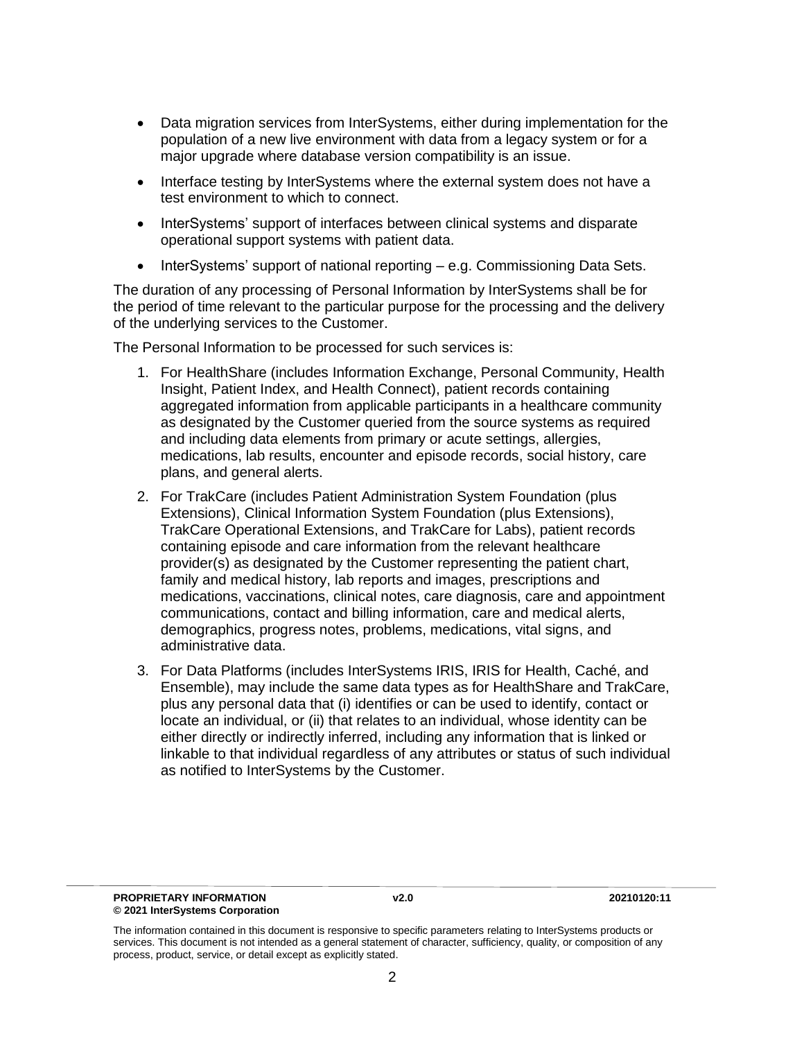- Data migration services from InterSystems, either during implementation for the population of a new live environment with data from a legacy system or for a major upgrade where database version compatibility is an issue.
- Interface testing by InterSystems where the external system does not have a test environment to which to connect.
- InterSystems' support of interfaces between clinical systems and disparate operational support systems with patient data.
- InterSystems' support of national reporting e.g. Commissioning Data Sets.

The duration of any processing of Personal Information by InterSystems shall be for the period of time relevant to the particular purpose for the processing and the delivery of the underlying services to the Customer.

The Personal Information to be processed for such services is:

- 1. For HealthShare (includes Information Exchange, Personal Community, Health Insight, Patient Index, and Health Connect), patient records containing aggregated information from applicable participants in a healthcare community as designated by the Customer queried from the source systems as required and including data elements from primary or acute settings, allergies, medications, lab results, encounter and episode records, social history, care plans, and general alerts.
- 2. For TrakCare (includes Patient Administration System Foundation (plus Extensions), Clinical Information System Foundation (plus Extensions), TrakCare Operational Extensions, and TrakCare for Labs), patient records containing episode and care information from the relevant healthcare provider(s) as designated by the Customer representing the patient chart, family and medical history, lab reports and images, prescriptions and medications, vaccinations, clinical notes, care diagnosis, care and appointment communications, contact and billing information, care and medical alerts, demographics, progress notes, problems, medications, vital signs, and administrative data.
- 3. For Data Platforms (includes InterSystems IRIS, IRIS for Health, Caché, and Ensemble), may include the same data types as for HealthShare and TrakCare, plus any personal data that (i) identifies or can be used to identify, contact or locate an individual, or (ii) that relates to an individual, whose identity can be either directly or indirectly inferred, including any information that is linked or linkable to that individual regardless of any attributes or status of such individual as notified to InterSystems by the Customer.

The information contained in this document is responsive to specific parameters relating to InterSystems products or services. This document is not intended as a general statement of character, sufficiency, quality, or composition of any process, product, service, or detail except as explicitly stated.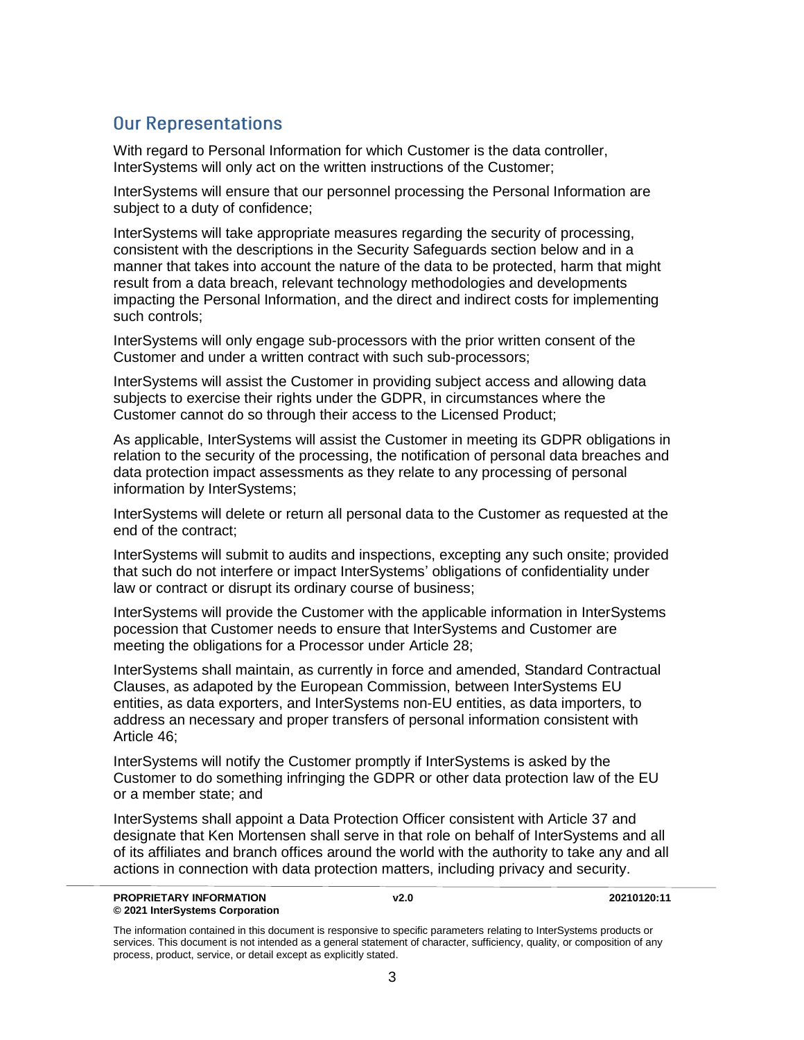## **Our Representations**

With regard to Personal Information for which Customer is the data controller, InterSystems will only act on the written instructions of the Customer;

InterSystems will ensure that our personnel processing the Personal Information are subject to a duty of confidence;

InterSystems will take appropriate measures regarding the security of processing, consistent with the descriptions in the Security Safeguards section below and in a manner that takes into account the nature of the data to be protected, harm that might result from a data breach, relevant technology methodologies and developments impacting the Personal Information, and the direct and indirect costs for implementing such controls;

InterSystems will only engage sub-processors with the prior written consent of the Customer and under a written contract with such sub-processors;

InterSystems will assist the Customer in providing subject access and allowing data subjects to exercise their rights under the GDPR, in circumstances where the Customer cannot do so through their access to the Licensed Product;

As applicable, InterSystems will assist the Customer in meeting its GDPR obligations in relation to the security of the processing, the notification of personal data breaches and data protection impact assessments as they relate to any processing of personal information by InterSystems;

InterSystems will delete or return all personal data to the Customer as requested at the end of the contract;

InterSystems will submit to audits and inspections, excepting any such onsite; provided that such do not interfere or impact InterSystems' obligations of confidentiality under law or contract or disrupt its ordinary course of business;

InterSystems will provide the Customer with the applicable information in InterSystems pocession that Customer needs to ensure that InterSystems and Customer are meeting the obligations for a Processor under Article 28;

InterSystems shall maintain, as currently in force and amended, Standard Contractual Clauses, as adapoted by the European Commission, between InterSystems EU entities, as data exporters, and InterSystems non-EU entities, as data importers, to address an necessary and proper transfers of personal information consistent with Article 46;

InterSystems will notify the Customer promptly if InterSystems is asked by the Customer to do something infringing the GDPR or other data protection law of the EU or a member state; and

InterSystems shall appoint a Data Protection Officer consistent with Article 37 and designate that Ken Mortensen shall serve in that role on behalf of InterSystems and all of its affiliates and branch offices around the world with the authority to take any and all actions in connection with data protection matters, including privacy and security.

The information contained in this document is responsive to specific parameters relating to InterSystems products or services. This document is not intended as a general statement of character, sufficiency, quality, or composition of any process, product, service, or detail except as explicitly stated.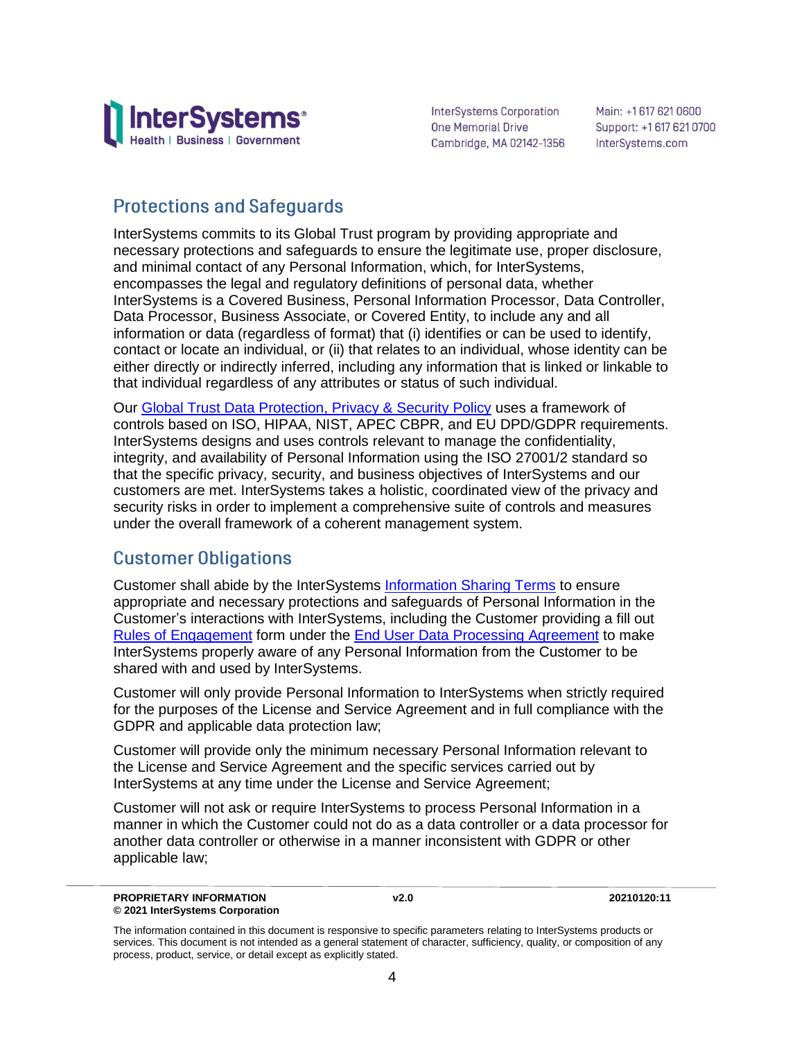

InterSystems Corporation One Memorial Drive Cambridge, MA 02142-1356 Main: +1617 621 0600 Support: +1 617 621 0700 InterSystems.com

# **Protections and Safeguards**

InterSystems commits to its Global Trust program by providing appropriate and necessary protections and safeguards to ensure the legitimate use, proper disclosure, and minimal contact of any Personal Information, which, for InterSystems, encompasses the legal and regulatory definitions of personal data, whether InterSystems is a Covered Business, Personal Information Processor, Data Controller, Data Processor, Business Associate, or Covered Entity, to include any and all information or data (regardless of format) that (i) identifies or can be used to identify, contact or locate an individual, or (ii) that relates to an individual, whose identity can be either directly or indirectly inferred, including any information that is linked or linkable to that individual regardless of any attributes or status of such individual.

Our [Global Trust Data Protection, Privacy & Security Policy](https://www.intersystems.com/GTDPPS) uses a framework of controls based on ISO, HIPAA, NIST, APEC CBPR, and EU DPD/GDPR requirements. InterSystems designs and uses controls relevant to manage the confidentiality, integrity, and availability of Personal Information using the ISO 27001/2 standard so that the specific privacy, security, and business objectives of InterSystems and our customers are met. InterSystems takes a holistic, coordinated view of the privacy and security risks in order to implement a comprehensive suite of controls and measures under the overall framework of a coherent management system.

## **Customer Obligations**

Customer shall abide by the InterSystems [Information Sharing Terms](https://www.intersystems.com/ISCIST) to ensure appropriate and necessary protections and safeguards of Personal Information in the Customer's interactions with InterSystems, including the Customer providing a fill out [Rules of Engagement](https://www.intersystems.com/wp-content/uploads/2019/03/DPA_Rules_of_Engagement-FILL-IN.pdf) form under the **End User Data Processing Agreement** to make InterSystems properly aware of any Personal Information from the Customer to be shared with and used by InterSystems.

Customer will only provide Personal Information to InterSystems when strictly required for the purposes of the License and Service Agreement and in full compliance with the GDPR and applicable data protection law;

Customer will provide only the minimum necessary Personal Information relevant to the License and Service Agreement and the specific services carried out by InterSystems at any time under the License and Service Agreement;

Customer will not ask or require InterSystems to process Personal Information in a manner in which the Customer could not do as a data controller or a data processor for another data controller or otherwise in a manner inconsistent with GDPR or other applicable law;

The information contained in this document is responsive to specific parameters relating to InterSystems products or services. This document is not intended as a general statement of character, sufficiency, quality, or composition of any process, product, service, or detail except as explicitly stated.